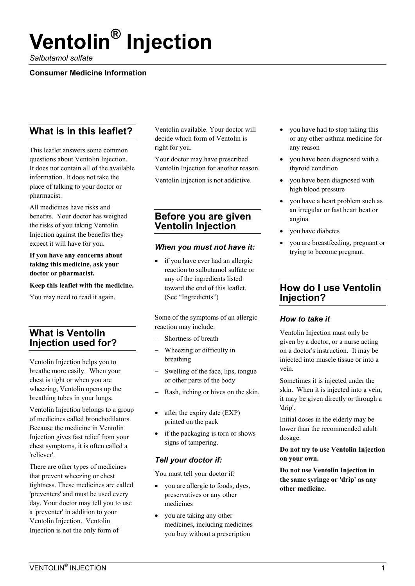# **Ventolin® Injection**

*Salbutamol sulfate* 

#### **Consumer Medicine Information**

# **What is in this leaflet?**

This leaflet answers some common questions about Ventolin Injection. It does not contain all of the available information. It does not take the place of talking to your doctor or pharmacist.

All medicines have risks and benefits. Your doctor has weighed the risks of you taking Ventolin Injection against the benefits they expect it will have for you.

**If you have any concerns about taking this medicine, ask your doctor or pharmacist.** 

**Keep this leaflet with the medicine.** 

You may need to read it again.

# **What is Ventolin Injection used for?**

Ventolin Injection helps you to breathe more easily. When your chest is tight or when you are wheezing, Ventolin opens up the breathing tubes in your lungs.

Ventolin Injection belongs to a group of medicines called bronchodilators. Because the medicine in Ventolin Injection gives fast relief from your chest symptoms, it is often called a 'reliever'.

There are other types of medicines that prevent wheezing or chest tightness. These medicines are called 'preventers' and must be used every day. Your doctor may tell you to use a 'preventer' in addition to your Ventolin Injection. Ventolin Injection is not the only form of

Ventolin available. Your doctor will decide which form of Ventolin is right for you.

Your doctor may have prescribed Ventolin Injection for another reason.

Ventolin Injection is not addictive.

## **Before you are given Ventolin Injection**

#### *When you must not have it:*

if you have ever had an allergic reaction to salbutamol sulfate or any of the ingredients listed toward the end of this leaflet. (See "Ingredients")

Some of the symptoms of an allergic reaction may include:

- Shortness of breath
- Wheezing or difficulty in breathing
- Swelling of the face, lips, tongue or other parts of the body
- Rash, itching or hives on the skin.
- after the expiry date (EXP) printed on the pack
- if the packaging is torn or shows signs of tampering.

## *Tell your doctor if:*

You must tell your doctor if:

- you are allergic to foods, dyes, preservatives or any other medicines
- you are taking any other medicines, including medicines you buy without a prescription
- you have had to stop taking this or any other asthma medicine for any reason
- you have been diagnosed with a thyroid condition
- you have been diagnosed with high blood pressure
- you have a heart problem such as an irregular or fast heart beat or angina
- you have diabetes
- you are breastfeeding, pregnant or trying to become pregnant.

# **How do I use Ventolin Injection?**

## *How to take it*

Ventolin Injection must only be given by a doctor, or a nurse acting on a doctor's instruction. It may be injected into muscle tissue or into a vein.

Sometimes it is injected under the skin. When it is injected into a vein, it may be given directly or through a 'drip'.

Initial doses in the elderly may be lower than the recommended adult dosage.

**Do not try to use Ventolin Injection on your own.** 

**Do not use Ventolin Injection in the same syringe or 'drip' as any other medicine.**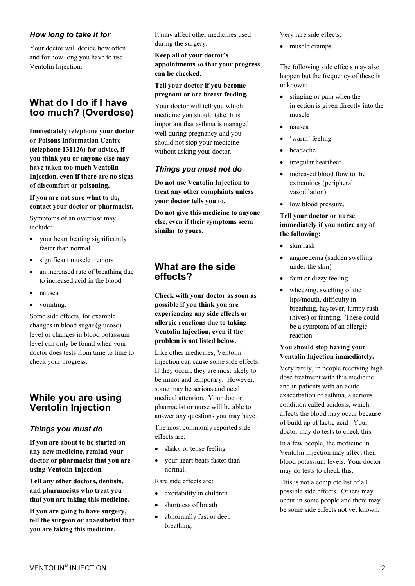### *How long to take it for*

Your doctor will decide how often and for how long you have to use Ventolin Injection.

# **What do I do if I have too much? (Overdose)**

**Immediately telephone your doctor or Poisons Information Centre (telephone 131126) for advice, if you think you or anyone else may have taken too much Ventolin Injection, even if there are no signs of discomfort or poisoning.** 

#### **If you are not sure what to do, contact your doctor or pharmacist.**

Symptoms of an overdose may include:

- your heart beating significantly faster than normal
- significant muscle tremors
- an increased rate of breathing due to increased acid in the blood
- nausea
- vomiting.

Some side effects, for example changes in blood sugar (glucose) level or changes in blood potassium level can only be found when your doctor does tests from time to time to check your progress.

## **While you are using Ventolin Injection**

## *Things you must do*

**If you are about to be started on any new medicine, remind your doctor or pharmacist that you are using Ventolin Injection.** 

**Tell any other doctors, dentists, and pharmacists who treat you that you are taking this medicine.** 

**If you are going to have surgery, tell the surgeon or anaesthetist that you are taking this medicine.** 

It may affect other medicines used during the surgery.

**Keep all of your doctor's appointments so that your progress can be checked.** 

#### **Tell your doctor if you become pregnant or are breast-feeding.**

Your doctor will tell you which medicine you should take. It is important that asthma is managed well during pregnancy and you should not stop your medicine without asking your doctor.

### *Things you must not do*

**Do not use Ventolin Injection to treat any other complaints unless your doctor tells you to.** 

**Do not give this medicine to anyone else, even if their symptoms seem similar to yours.** 

## **What are the side effects?**

**Check with your doctor as soon as possible if you think you are experiencing any side effects or allergic reactions due to taking Ventolin Injection, even if the problem is not listed below.** 

Like other medicines, Ventolin Injection can cause some side effects. If they occur, they are most likely to be minor and temporary. However, some may be serious and need medical attention. Your doctor, pharmacist or nurse will be able to answer any questions you may have.

The most commonly reported side effects are:

- shaky or tense feeling
- your heart beats faster than normal.

Rare side effects are:

- excitability in children
- shortness of breath
- abnormally fast or deep breathing.

Very rare side effects:

muscle cramps.

The following side effects may also happen but the frequency of these is unknown:

- stinging or pain when the injection is given directly into the muscle
- nausea
- 'warm' feeling
- headache
- irregular heartbeat
- increased blood flow to the extremities (peripheral vasodilation)
- low blood pressure.

#### **Tell your doctor or nurse immediately if you notice any of the following:**

- skin rash
- angioedema (sudden swelling under the skin)
- faint or dizzy feeling
- wheezing, swelling of the lips/mouth, difficulty in breathing, hayfever, lumpy rash (hives) or fainting. These could be a symptom of an allergic reaction.

#### **You should stop having your Ventolin Injection immediately.**

Very rarely, in people receiving high dose treatment with this medicine and in patients with an acute exacerbation of asthma, a serious condition called acidosis, which affects the blood may occur because of build up of lactic acid. Your doctor may do tests to check this.

In a few people, the medicine in Ventolin Injection may affect their blood potassium levels. Your doctor may do tests to check this.

This is not a complete list of all possible side effects. Others may occur in some people and there may be some side effects not yet known.